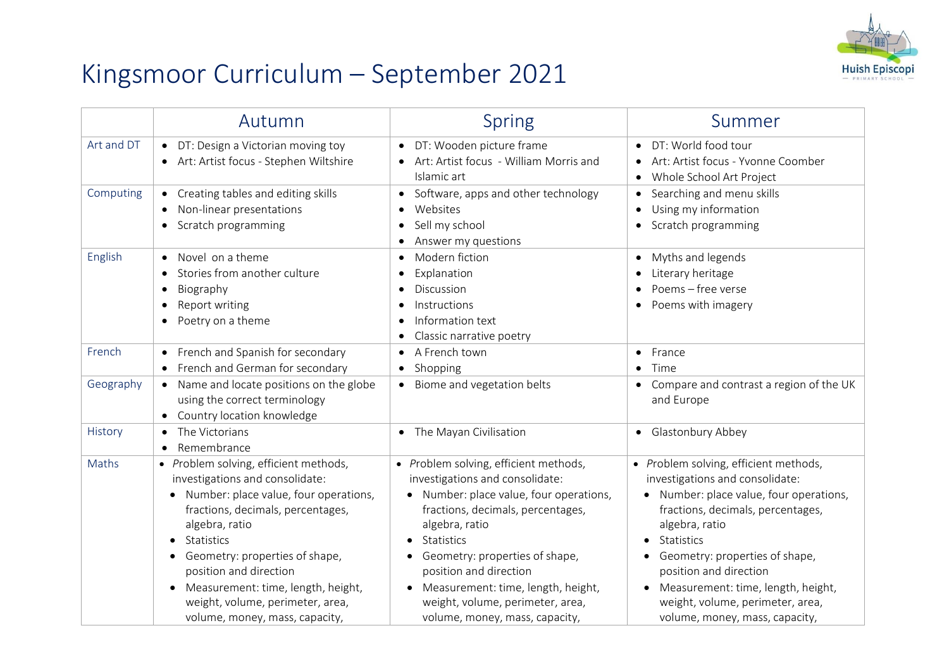

## Kingsmoor Curriculum – September 2021

|            | Autumn                                                                                                                                                                                                                                                                                                                                                             | <b>Spring</b>                                                                                                                                                                                                                                                                                                                                                               | Summer                                                                                                                                                                                                                                                                                                                                                         |
|------------|--------------------------------------------------------------------------------------------------------------------------------------------------------------------------------------------------------------------------------------------------------------------------------------------------------------------------------------------------------------------|-----------------------------------------------------------------------------------------------------------------------------------------------------------------------------------------------------------------------------------------------------------------------------------------------------------------------------------------------------------------------------|----------------------------------------------------------------------------------------------------------------------------------------------------------------------------------------------------------------------------------------------------------------------------------------------------------------------------------------------------------------|
| Art and DT | DT: Design a Victorian moving toy<br>$\bullet$<br>Art: Artist focus - Stephen Wiltshire                                                                                                                                                                                                                                                                            | DT: Wooden picture frame<br>$\bullet$<br>Art: Artist focus - William Morris and<br>Islamic art                                                                                                                                                                                                                                                                              | DT: World food tour<br>Art: Artist focus - Yvonne Coomber<br>Whole School Art Project<br>$\bullet$                                                                                                                                                                                                                                                             |
| Computing  | Creating tables and editing skills<br>$\bullet$<br>Non-linear presentations<br>Scratch programming<br>$\bullet$                                                                                                                                                                                                                                                    | Software, apps and other technology<br>$\bullet$<br>Websites<br>Sell my school<br>Answer my questions                                                                                                                                                                                                                                                                       | Searching and menu skills<br>$\bullet$<br>Using my information<br>Scratch programming                                                                                                                                                                                                                                                                          |
| English    | Novel on a theme<br>Stories from another culture<br>Biography<br>$\bullet$<br>Report writing<br>$\bullet$<br>Poetry on a theme<br>$\bullet$                                                                                                                                                                                                                        | Modern fiction<br>$\bullet$<br>Explanation<br>$\bullet$<br>Discussion<br>$\bullet$<br>Instructions<br>$\bullet$<br>Information text<br>$\bullet$<br>Classic narrative poetry                                                                                                                                                                                                | Myths and legends<br>Literary heritage<br>Poems - free verse<br>Poems with imagery<br>$\bullet$                                                                                                                                                                                                                                                                |
| French     | French and Spanish for secondary<br>French and German for secondary                                                                                                                                                                                                                                                                                                | A French town<br>$\bullet$<br>Shopping<br>$\bullet$                                                                                                                                                                                                                                                                                                                         | France<br>$\bullet$<br>Time<br>$\bullet$                                                                                                                                                                                                                                                                                                                       |
| Geography  | Name and locate positions on the globe<br>$\bullet$<br>using the correct terminology<br>Country location knowledge                                                                                                                                                                                                                                                 | Biome and vegetation belts<br>$\bullet$                                                                                                                                                                                                                                                                                                                                     | Compare and contrast a region of the UK<br>$\bullet$<br>and Europe                                                                                                                                                                                                                                                                                             |
| History    | The Victorians<br>Remembrance                                                                                                                                                                                                                                                                                                                                      | • The Mayan Civilisation                                                                                                                                                                                                                                                                                                                                                    | • Glastonbury Abbey                                                                                                                                                                                                                                                                                                                                            |
| Maths      | • Problem solving, efficient methods,<br>investigations and consolidate:<br>• Number: place value, four operations,<br>fractions, decimals, percentages,<br>algebra, ratio<br>Statistics<br>• Geometry: properties of shape,<br>position and direction<br>Measurement: time, length, height,<br>weight, volume, perimeter, area,<br>volume, money, mass, capacity, | • Problem solving, efficient methods,<br>investigations and consolidate:<br>Number: place value, four operations,<br>fractions, decimals, percentages,<br>algebra, ratio<br>Statistics<br>Geometry: properties of shape,<br>position and direction<br>Measurement: time, length, height,<br>$\bullet$<br>weight, volume, perimeter, area,<br>volume, money, mass, capacity, | • Problem solving, efficient methods,<br>investigations and consolidate:<br>Number: place value, four operations,<br>fractions, decimals, percentages,<br>algebra, ratio<br>Statistics<br>Geometry: properties of shape,<br>position and direction<br>Measurement: time, length, height,<br>weight, volume, perimeter, area,<br>volume, money, mass, capacity, |